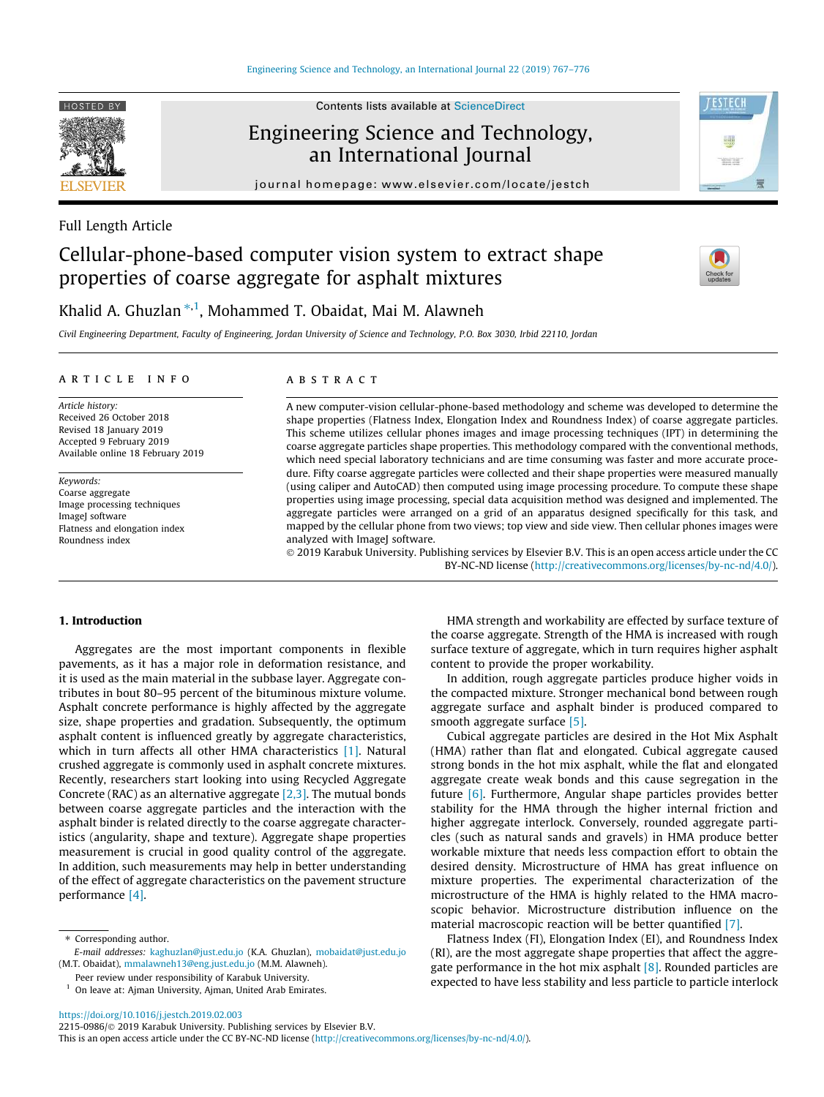

Contents lists available at ScienceDirect

# Engineering Science and Technology, an International Journal

journal homepage: www.elsevier.com/locate/jestch



## Full Length Article

# Cellular-phone-based computer vision system to extract shape properties of coarse aggregate for asphalt mixtures



# Khalid A. Ghuzlan \*<sup>,1</sup>, Mohammed T. Obaidat, Mai M. Alawneh

*Civil Engineering Department, Faculty of Engineering, Jordan University of Science and Technology, P.O. Box 3030, Irbid 22110, Jordan*

#### article info

*Article history:* Received 26 October 2018 Revised 18 January 2019 Accepted 9 February 2019 Available online 18 February 2019

*Keywords:* Coarse aggregate Image processing techniques ImageJ software Flatness and elongation index Roundness index

## ABSTRACT

A new computer-vision cellular-phone-based methodology and scheme was developed to determine the shape properties (Flatness Index, Elongation Index and Roundness Index) of coarse aggregate particles. This scheme utilizes cellular phones images and image processing techniques (IPT) in determining the coarse aggregate particles shape properties. This methodology compared with the conventional methods, which need special laboratory technicians and are time consuming was faster and more accurate procedure. Fifty coarse aggregate particles were collected and their shape properties were measured manually (using caliper and AutoCAD) then computed using image processing procedure. To compute these shape properties using image processing, special data acquisition method was designed and implemented. The aggregate particles were arranged on a grid of an apparatus designed specifically for this task, and mapped by the cellular phone from two views; top view and side view. Then cellular phones images were analyzed with ImageJ software.

 2019 Karabuk University. Publishing services by Elsevier B.V. This is an open access article under the CC BY-NC-ND license (http://creativecommons.org/licenses/by-nc-nd/4.0/).

#### 1. Introduction

Aggregates are the most important components in flexible pavements, as it has a major role in deformation resistance, and it is used as the main material in the subbase layer. Aggregate contributes in bout 80–95 percent of the bituminous mixture volume. Asphalt concrete performance is highly affected by the aggregate size, shape properties and gradation. Subsequently, the optimum asphalt content is influenced greatly by aggregate characteristics, which in turn affects all other HMA characteristics [1]. Natural crushed aggregate is commonly used in asphalt concrete mixtures. Recently, researchers start looking into using Recycled Aggregate Concrete (RAC) as an alternative aggregate [2,3]. The mutual bonds between coarse aggregate particles and the interaction with the asphalt binder is related directly to the coarse aggregate characteristics (angularity, shape and texture). Aggregate shape properties measurement is crucial in good quality control of the aggregate. In addition, such measurements may help in better understanding of the effect of aggregate characteristics on the pavement structure performance [4].

Peer review under responsibility of Karabuk University.

HMA strength and workability are effected by surface texture of the coarse aggregate. Strength of the HMA is increased with rough surface texture of aggregate, which in turn requires higher asphalt content to provide the proper workability.

In addition, rough aggregate particles produce higher voids in the compacted mixture. Stronger mechanical bond between rough aggregate surface and asphalt binder is produced compared to smooth aggregate surface [5].

Cubical aggregate particles are desired in the Hot Mix Asphalt (HMA) rather than flat and elongated. Cubical aggregate caused strong bonds in the hot mix asphalt, while the flat and elongated aggregate create weak bonds and this cause segregation in the future [6]. Furthermore, Angular shape particles provides better stability for the HMA through the higher internal friction and higher aggregate interlock. Conversely, rounded aggregate particles (such as natural sands and gravels) in HMA produce better workable mixture that needs less compaction effort to obtain the desired density. Microstructure of HMA has great influence on mixture properties. The experimental characterization of the microstructure of the HMA is highly related to the HMA macroscopic behavior. Microstructure distribution influence on the material macroscopic reaction will be better quantified [7].

Flatness Index (FI), Elongation Index (EI), and Roundness Index (RI), are the most aggregate shape properties that affect the aggregate performance in the hot mix asphalt  $[8]$ . Rounded particles are expected to have less stability and less particle to particle interlock

https://doi.org/10.1016/j.jestch.2019.02.003 2215-0986/ 2019 Karabuk University. Publishing services by Elsevier B.V.

<sup>⇑</sup> Corresponding author.

*E-mail addresses:* kaghuzlan@just.edu.jo (K.A. Ghuzlan), mobaidat@just.edu.jo (M.T. Obaidat), mmalawneh13@eng.just.edu.jo (M.M. Alawneh).

 $1$  On leave at: Ajman University, Ajman, United Arab Emirates.

This is an open access article under the CC BY-NC-ND license (http://creativecommons.org/licenses/by-nc-nd/4.0/).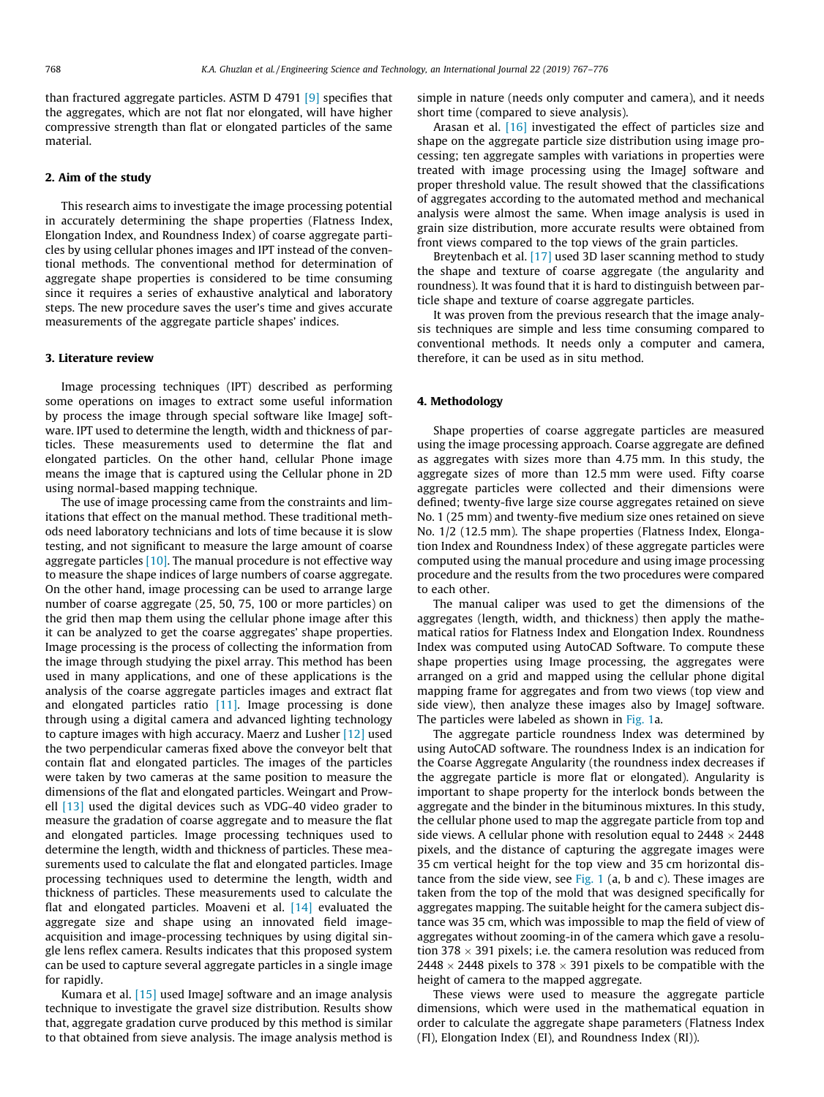than fractured aggregate particles. ASTM D 4791 [9] specifies that the aggregates, which are not flat nor elongated, will have higher compressive strength than flat or elongated particles of the same material.

### 2. Aim of the study

This research aims to investigate the image processing potential in accurately determining the shape properties (Flatness Index, Elongation Index, and Roundness Index) of coarse aggregate particles by using cellular phones images and IPT instead of the conventional methods. The conventional method for determination of aggregate shape properties is considered to be time consuming since it requires a series of exhaustive analytical and laboratory steps. The new procedure saves the user's time and gives accurate measurements of the aggregate particle shapes' indices.

#### 3. Literature review

Image processing techniques (IPT) described as performing some operations on images to extract some useful information by process the image through special software like ImageJ software. IPT used to determine the length, width and thickness of particles. These measurements used to determine the flat and elongated particles. On the other hand, cellular Phone image means the image that is captured using the Cellular phone in 2D using normal-based mapping technique.

The use of image processing came from the constraints and limitations that effect on the manual method. These traditional methods need laboratory technicians and lots of time because it is slow testing, and not significant to measure the large amount of coarse aggregate particles  $[10]$ . The manual procedure is not effective way to measure the shape indices of large numbers of coarse aggregate. On the other hand, image processing can be used to arrange large number of coarse aggregate (25, 50, 75, 100 or more particles) on the grid then map them using the cellular phone image after this it can be analyzed to get the coarse aggregates' shape properties. Image processing is the process of collecting the information from the image through studying the pixel array. This method has been used in many applications, and one of these applications is the analysis of the coarse aggregate particles images and extract flat and elongated particles ratio [11]. Image processing is done through using a digital camera and advanced lighting technology to capture images with high accuracy. Maerz and Lusher [12] used the two perpendicular cameras fixed above the conveyor belt that contain flat and elongated particles. The images of the particles were taken by two cameras at the same position to measure the dimensions of the flat and elongated particles. Weingart and Prowell [13] used the digital devices such as VDG-40 video grader to measure the gradation of coarse aggregate and to measure the flat and elongated particles. Image processing techniques used to determine the length, width and thickness of particles. These measurements used to calculate the flat and elongated particles. Image processing techniques used to determine the length, width and thickness of particles. These measurements used to calculate the flat and elongated particles. Moaveni et al. [14] evaluated the aggregate size and shape using an innovated field imageacquisition and image-processing techniques by using digital single lens reflex camera. Results indicates that this proposed system can be used to capture several aggregate particles in a single image for rapidly.

Kumara et al.  $[15]$  used ImageJ software and an image analysis technique to investigate the gravel size distribution. Results show that, aggregate gradation curve produced by this method is similar to that obtained from sieve analysis. The image analysis method is simple in nature (needs only computer and camera), and it needs short time (compared to sieve analysis).

Arasan et al. [16] investigated the effect of particles size and shape on the aggregate particle size distribution using image processing; ten aggregate samples with variations in properties were treated with image processing using the ImageJ software and proper threshold value. The result showed that the classifications of aggregates according to the automated method and mechanical analysis were almost the same. When image analysis is used in grain size distribution, more accurate results were obtained from front views compared to the top views of the grain particles.

Breytenbach et al. [17] used 3D laser scanning method to study the shape and texture of coarse aggregate (the angularity and roundness). It was found that it is hard to distinguish between particle shape and texture of coarse aggregate particles.

It was proven from the previous research that the image analysis techniques are simple and less time consuming compared to conventional methods. It needs only a computer and camera, therefore, it can be used as in situ method.

#### 4. Methodology

Shape properties of coarse aggregate particles are measured using the image processing approach. Coarse aggregate are defined as aggregates with sizes more than 4.75 mm. In this study, the aggregate sizes of more than 12.5 mm were used. Fifty coarse aggregate particles were collected and their dimensions were defined; twenty-five large size course aggregates retained on sieve No. 1 (25 mm) and twenty-five medium size ones retained on sieve No. 1/2 (12.5 mm). The shape properties (Flatness Index, Elongation Index and Roundness Index) of these aggregate particles were computed using the manual procedure and using image processing procedure and the results from the two procedures were compared to each other.

The manual caliper was used to get the dimensions of the aggregates (length, width, and thickness) then apply the mathematical ratios for Flatness Index and Elongation Index. Roundness Index was computed using AutoCAD Software. To compute these shape properties using Image processing, the aggregates were arranged on a grid and mapped using the cellular phone digital mapping frame for aggregates and from two views (top view and side view), then analyze these images also by ImageJ software. The particles were labeled as shown in Fig. 1a.

The aggregate particle roundness Index was determined by using AutoCAD software. The roundness Index is an indication for the Coarse Aggregate Angularity (the roundness index decreases if the aggregate particle is more flat or elongated). Angularity is important to shape property for the interlock bonds between the aggregate and the binder in the bituminous mixtures. In this study, the cellular phone used to map the aggregate particle from top and side views. A cellular phone with resolution equal to  $2448 \times 2448$ pixels, and the distance of capturing the aggregate images were 35 cm vertical height for the top view and 35 cm horizontal distance from the side view, see  $Fig. 1$  (a, b and c). These images are taken from the top of the mold that was designed specifically for aggregates mapping. The suitable height for the camera subject distance was 35 cm, which was impossible to map the field of view of aggregates without zooming-in of the camera which gave a resolution 378  $\times$  391 pixels; i.e. the camera resolution was reduced from 2448  $\times$  2448 pixels to 378  $\times$  391 pixels to be compatible with the height of camera to the mapped aggregate.

These views were used to measure the aggregate particle dimensions, which were used in the mathematical equation in order to calculate the aggregate shape parameters (Flatness Index (FI), Elongation Index (EI), and Roundness Index (RI)).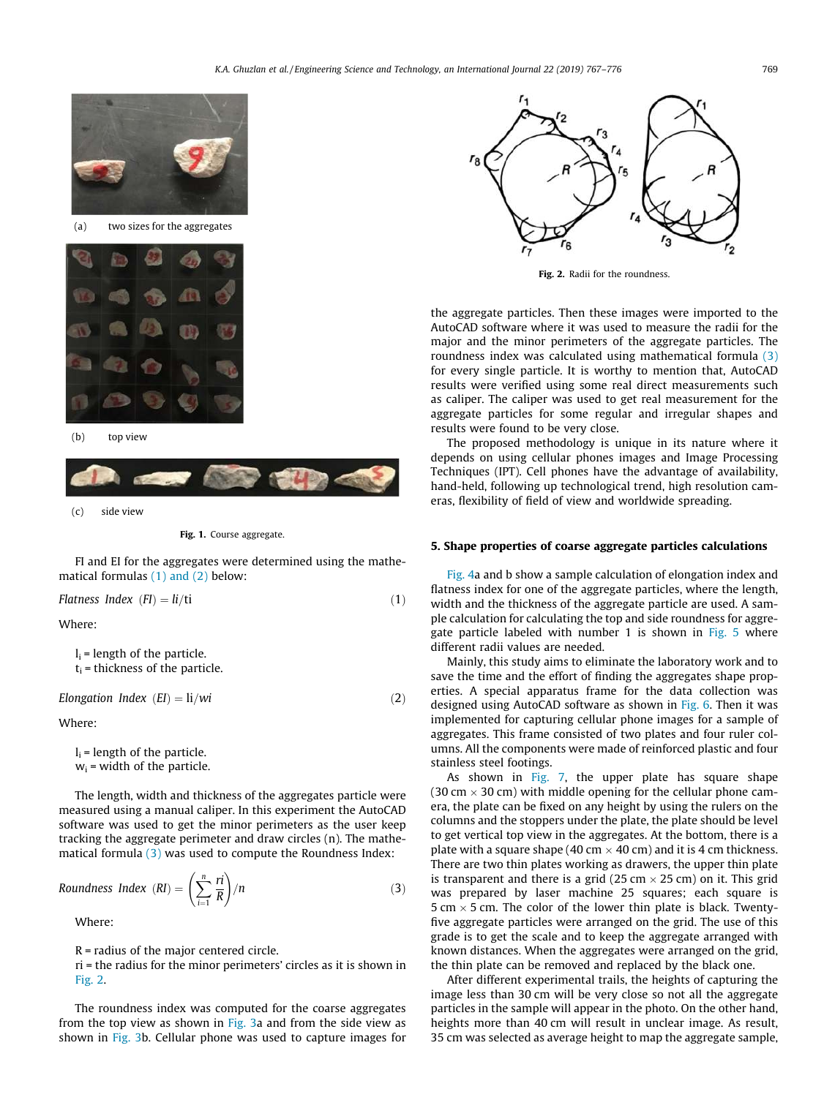

(c) side view

Fig. 1. Course aggregate.

FI and EI for the aggregates were determined using the mathematical formulas (1) and (2) below:

*Flatness Index (FI)* =  $li/ti$  (1)

Where:

 $l_i$  = length of the particle.  $t_i$  = thickness of the particle.

$$
Elongation Index (EI) = li/wi
$$
\n(2)

Where:

 $l_i$  = length of the particle.  $w_i$  = width of the particle.

The length, width and thickness of the aggregates particle were measured using a manual caliper. In this experiment the AutoCAD software was used to get the minor perimeters as the user keep tracking the aggregate perimeter and draw circles (n). The mathematical formula (3) was used to compute the Roundness Index:

*Roundness Index (RI)* = 
$$
\left(\sum_{i=1}^{n} \frac{ri}{R}\right)/n
$$
 (3)

Where:

R = radius of the major centered circle.

ri = the radius for the minor perimeters' circles as it is shown in Fig. 2.

The roundness index was computed for the coarse aggregates from the top view as shown in Fig. 3a and from the side view as shown in Fig. 3b. Cellular phone was used to capture images for



Fig. 2. Radii for the roundness.

the aggregate particles. Then these images were imported to the AutoCAD software where it was used to measure the radii for the major and the minor perimeters of the aggregate particles. The roundness index was calculated using mathematical formula (3) for every single particle. It is worthy to mention that, AutoCAD results were verified using some real direct measurements such as caliper. The caliper was used to get real measurement for the aggregate particles for some regular and irregular shapes and results were found to be very close.

The proposed methodology is unique in its nature where it depends on using cellular phones images and Image Processing Techniques (IPT). Cell phones have the advantage of availability, hand-held, following up technological trend, high resolution cameras, flexibility of field of view and worldwide spreading.

#### 5. Shape properties of coarse aggregate particles calculations

Fig. 4a and b show a sample calculation of elongation index and flatness index for one of the aggregate particles, where the length, width and the thickness of the aggregate particle are used. A sample calculation for calculating the top and side roundness for aggregate particle labeled with number 1 is shown in Fig. 5 where different radii values are needed.

Mainly, this study aims to eliminate the laboratory work and to save the time and the effort of finding the aggregates shape properties. A special apparatus frame for the data collection was designed using AutoCAD software as shown in Fig. 6. Then it was implemented for capturing cellular phone images for a sample of aggregates. This frame consisted of two plates and four ruler columns. All the components were made of reinforced plastic and four stainless steel footings.

As shown in Fig. 7, the upper plate has square shape (30 cm  $\times$  30 cm) with middle opening for the cellular phone camera, the plate can be fixed on any height by using the rulers on the columns and the stoppers under the plate, the plate should be level to get vertical top view in the aggregates. At the bottom, there is a plate with a square shape (40 cm  $\times$  40 cm) and it is 4 cm thickness. There are two thin plates working as drawers, the upper thin plate is transparent and there is a grid (25 cm  $\times$  25 cm) on it. This grid was prepared by laser machine 25 squares; each square is 5 cm  $\times$  5 cm. The color of the lower thin plate is black. Twentyfive aggregate particles were arranged on the grid. The use of this grade is to get the scale and to keep the aggregate arranged with known distances. When the aggregates were arranged on the grid, the thin plate can be removed and replaced by the black one.

After different experimental trails, the heights of capturing the image less than 30 cm will be very close so not all the aggregate particles in the sample will appear in the photo. On the other hand, heights more than 40 cm will result in unclear image. As result, 35 cm was selected as average height to map the aggregate sample,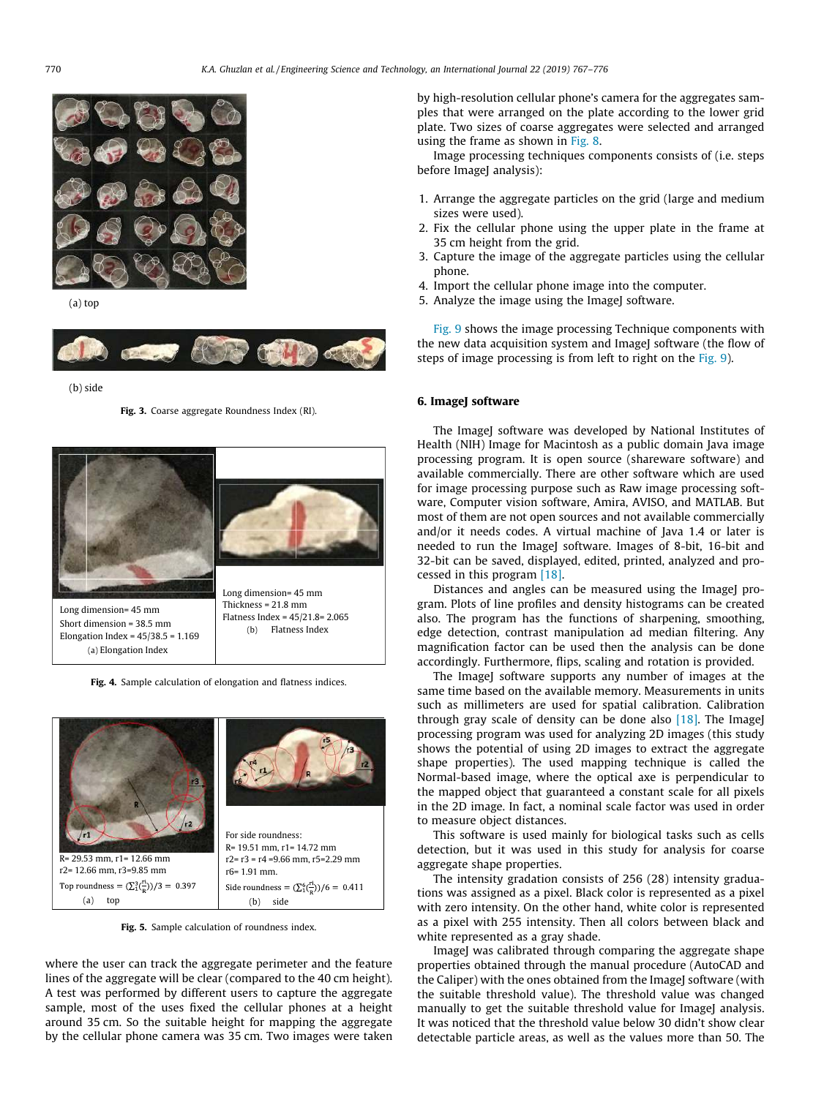

(a) top



(b) side

Fig. 3. Coarse aggregate Roundness Index (RI).



Fig. 4. Sample calculation of elongation and flatness indices.



Fig. 5. Sample calculation of roundness index.

where the user can track the aggregate perimeter and the feature lines of the aggregate will be clear (compared to the 40 cm height). A test was performed by different users to capture the aggregate sample, most of the uses fixed the cellular phones at a height around 35 cm. So the suitable height for mapping the aggregate by the cellular phone camera was 35 cm. Two images were taken by high-resolution cellular phone's camera for the aggregates samples that were arranged on the plate according to the lower grid plate. Two sizes of coarse aggregates were selected and arranged using the frame as shown in Fig. 8.

Image processing techniques components consists of (i.e. steps before ImageJ analysis):

- 1. Arrange the aggregate particles on the grid (large and medium sizes were used).
- 2. Fix the cellular phone using the upper plate in the frame at 35 cm height from the grid.
- 3. Capture the image of the aggregate particles using the cellular phone.
- 4. Import the cellular phone image into the computer.
- 5. Analyze the image using the ImageJ software.

Fig. 9 shows the image processing Technique components with the new data acquisition system and ImageJ software (the flow of steps of image processing is from left to right on the Fig. 9).

#### 6. ImageJ software

The ImageJ software was developed by National Institutes of Health (NIH) Image for Macintosh as a public domain Java image processing program. It is open source (shareware software) and available commercially. There are other software which are used for image processing purpose such as Raw image processing software, Computer vision software, Amira, AVISO, and MATLAB. But most of them are not open sources and not available commercially and/or it needs codes. A virtual machine of Java 1.4 or later is needed to run the ImageJ software. Images of 8-bit, 16-bit and 32-bit can be saved, displayed, edited, printed, analyzed and processed in this program [18].

Distances and angles can be measured using the ImageJ program. Plots of line profiles and density histograms can be created also. The program has the functions of sharpening, smoothing, edge detection, contrast manipulation ad median filtering. Any magnification factor can be used then the analysis can be done accordingly. Furthermore, flips, scaling and rotation is provided.

The ImageJ software supports any number of images at the same time based on the available memory. Measurements in units such as millimeters are used for spatial calibration. Calibration through gray scale of density can be done also  $[18]$ . The ImageJ processing program was used for analyzing 2D images (this study shows the potential of using 2D images to extract the aggregate shape properties). The used mapping technique is called the Normal-based image, where the optical axe is perpendicular to the mapped object that guaranteed a constant scale for all pixels in the 2D image. In fact, a nominal scale factor was used in order to measure object distances.

This software is used mainly for biological tasks such as cells detection, but it was used in this study for analysis for coarse aggregate shape properties.

The intensity gradation consists of 256 (28) intensity graduations was assigned as a pixel. Black color is represented as a pixel with zero intensity. On the other hand, white color is represented as a pixel with 255 intensity. Then all colors between black and white represented as a gray shade.

ImageJ was calibrated through comparing the aggregate shape properties obtained through the manual procedure (AutoCAD and the Caliper) with the ones obtained from the ImageJ software (with the suitable threshold value). The threshold value was changed manually to get the suitable threshold value for ImageJ analysis. It was noticed that the threshold value below 30 didn't show clear detectable particle areas, as well as the values more than 50. The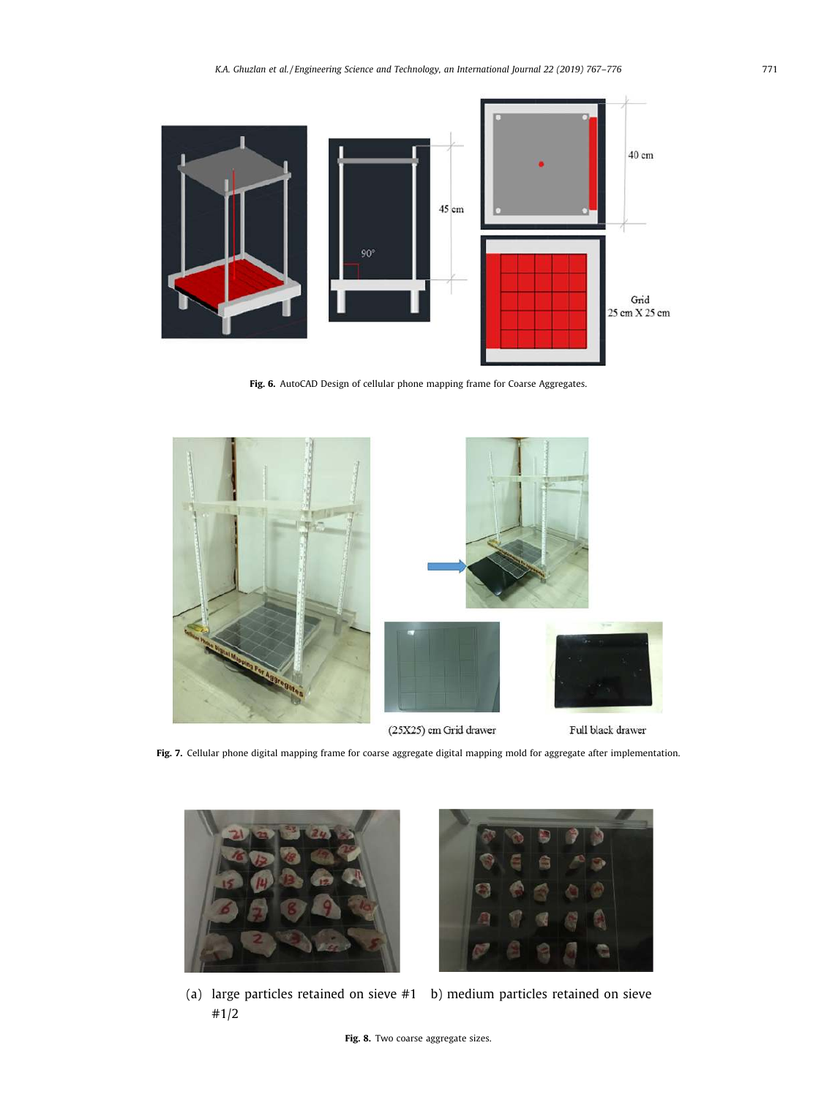

Fig. 6. AutoCAD Design of cellular phone mapping frame for Coarse Aggregates.



Fig. 7. Cellular phone digital mapping frame for coarse aggregate digital mapping mold for aggregate after implementation.





(a) large particles retained on sieve #1 b) medium particles retained on sieve #1/2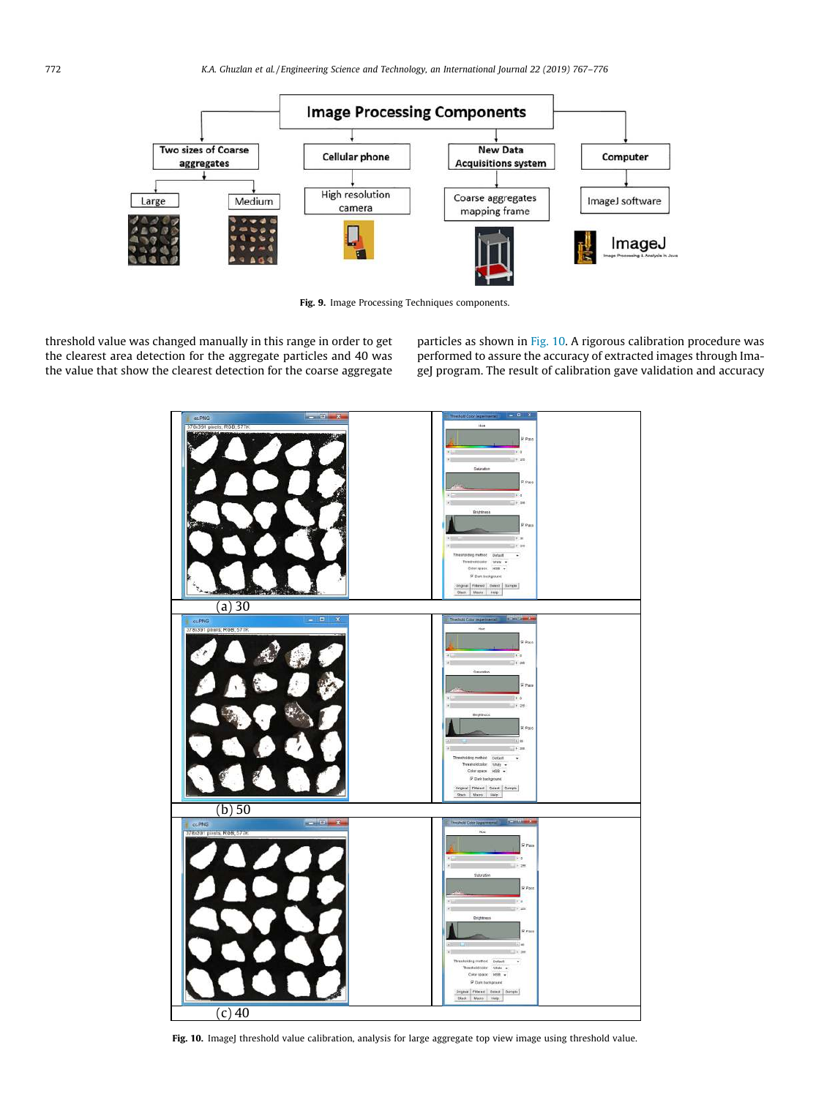

Fig. 9. Image Processing Techniques components.

threshold value was changed manually in this range in order to get the clearest area detection for the aggregate particles and 40 was the value that show the clearest detection for the coarse aggregate particles as shown in Fig. 10. A rigorous calibration procedure was performed to assure the accuracy of extracted images through ImageJ program. The result of calibration gave validation and accuracy



Fig. 10. ImageJ threshold value calibration, analysis for large aggregate top view image using threshold value.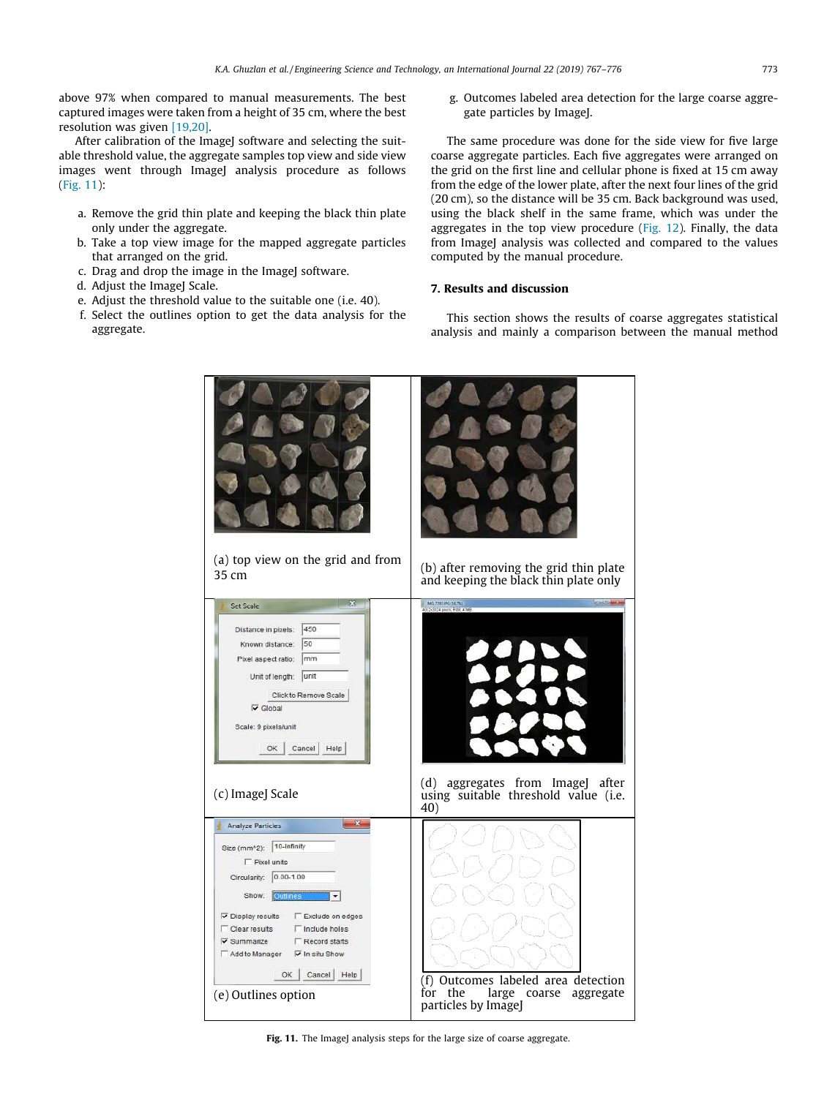above 97% when compared to manual measurements. The best captured images were taken from a height of 35 cm, where the best resolution was given [19,20].

After calibration of the ImageJ software and selecting the suitable threshold value, the aggregate samples top view and side view images went through ImageJ analysis procedure as follows (Fig. 11):

- a. Remove the grid thin plate and keeping the black thin plate only under the aggregate.
- b. Take a top view image for the mapped aggregate particles that arranged on the grid.
- c. Drag and drop the image in the ImageJ software.
- d. Adjust the ImageJ Scale.
- e. Adjust the threshold value to the suitable one (i.e. 40).
- f. Select the outlines option to get the data analysis for the aggregate.

g. Outcomes labeled area detection for the large coarse aggregate particles by ImageJ.

The same procedure was done for the side view for five large coarse aggregate particles. Each five aggregates were arranged on the grid on the first line and cellular phone is fixed at 15 cm away from the edge of the lower plate, after the next four lines of the grid (20 cm), so the distance will be 35 cm. Back background was used, using the black shelf in the same frame, which was under the aggregates in the top view procedure (Fig. 12). Finally, the data from ImageJ analysis was collected and compared to the values computed by the manual procedure.

## 7. Results and discussion

This section shows the results of coarse aggregates statistical analysis and mainly a comparison between the manual method



Fig. 11. The ImageJ analysis steps for the large size of coarse aggregate.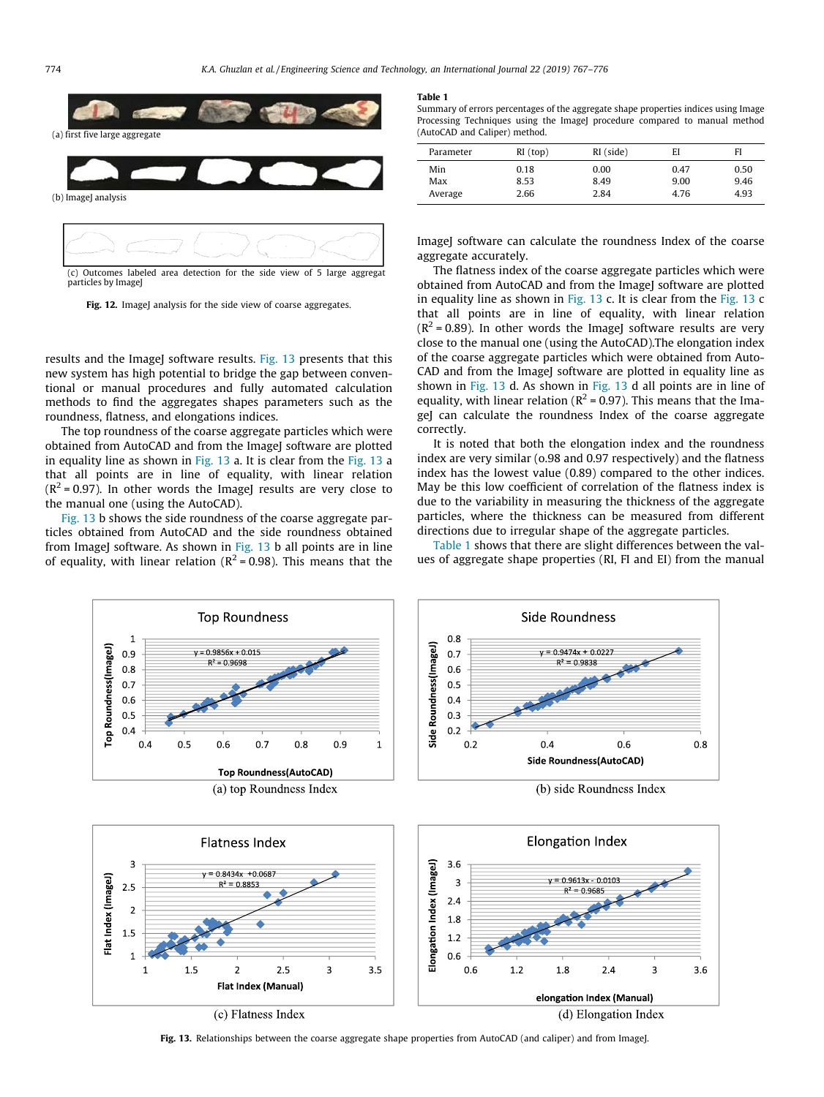



particles by Imagel



results and the ImageJ software results. Fig. 13 presents that this new system has high potential to bridge the gap between conventional or manual procedures and fully automated calculation methods to find the aggregates shapes parameters such as the roundness, flatness, and elongations indices.

The top roundness of the coarse aggregate particles which were obtained from AutoCAD and from the ImageJ software are plotted in equality line as shown in Fig. 13 a. It is clear from the Fig. 13 a that all points are in line of equality, with linear relation  $(R^2 = 0.97)$ . In other words the ImageJ results are very close to the manual one (using the AutoCAD).

Fig. 13 b shows the side roundness of the coarse aggregate particles obtained from AutoCAD and the side roundness obtained from ImageJ software. As shown in Fig. 13 b all points are in line of equality, with linear relation ( $R^2$  = 0.98). This means that the



Summary of errors percentages of the aggregate shape properties indices using Image Processing Techniques using the ImageJ procedure compared to manual method (AutoCAD and Caliper) method.

| Parameter | RI (top) | RI (side) | EI   | FI   |
|-----------|----------|-----------|------|------|
| Min       | 0.18     | 0.00      | 0.47 | 0.50 |
| Max       | 8.53     | 8.49      | 9.00 | 9.46 |
| Average   | 2.66     | 2.84      | 4.76 | 4.93 |

ImageJ software can calculate the roundness Index of the coarse aggregate accurately.

The flatness index of the coarse aggregate particles which were obtained from AutoCAD and from the ImageJ software are plotted in equality line as shown in Fig. 13 c. It is clear from the Fig. 13 c that all points are in line of equality, with linear relation  $(R<sup>2</sup> = 0.89)$ . In other words the ImageJ software results are very close to the manual one (using the AutoCAD).The elongation index of the coarse aggregate particles which were obtained from Auto-CAD and from the ImageJ software are plotted in equality line as shown in Fig. 13 d. As shown in Fig. 13 d all points are in line of equality, with linear relation ( $R^2$  = 0.97). This means that the ImageJ can calculate the roundness Index of the coarse aggregate correctly.

It is noted that both the elongation index and the roundness index are very similar (o.98 and 0.97 respectively) and the flatness index has the lowest value (0.89) compared to the other indices. May be this low coefficient of correlation of the flatness index is due to the variability in measuring the thickness of the aggregate particles, where the thickness can be measured from different directions due to irregular shape of the aggregate particles.

Table 1 shows that there are slight differences between the values of aggregate shape properties (RI, FI and EI) from the manual



Fig. 13. Relationships between the coarse aggregate shape properties from AutoCAD (and caliper) and from ImageJ.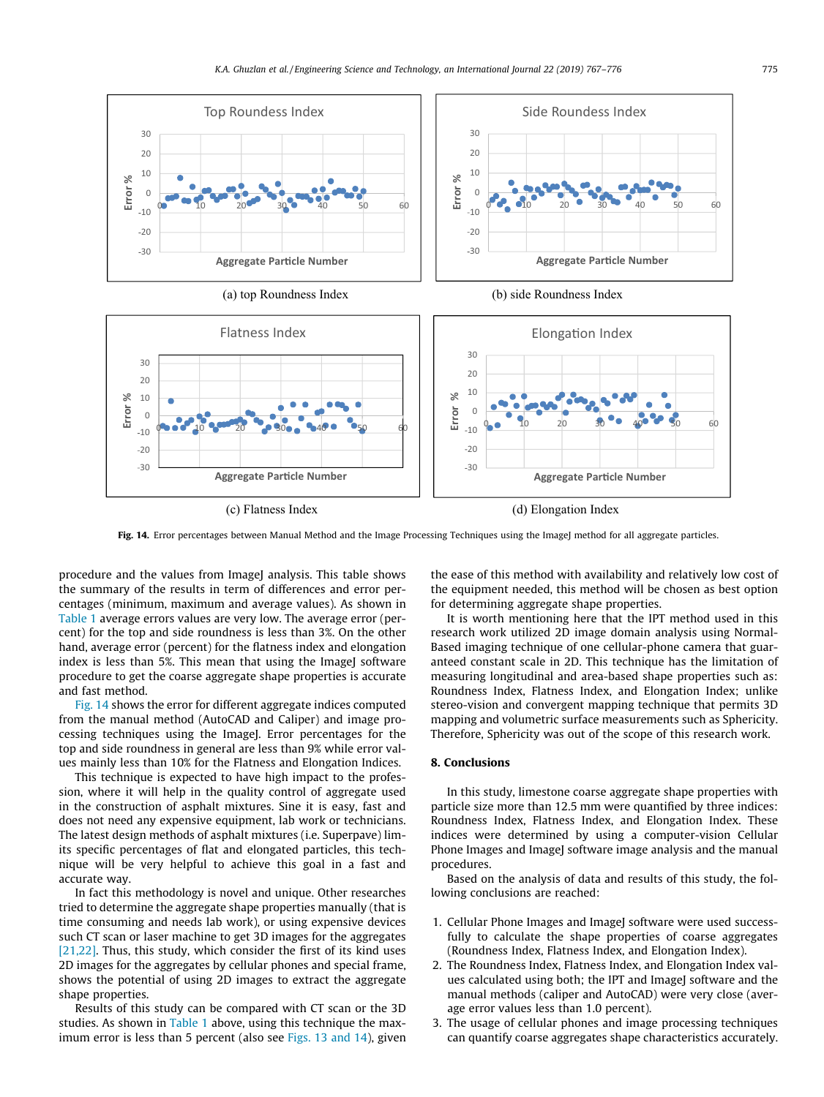

(c) Flatness Index (d) Elongation Index

Fig. 14. Error percentages between Manual Method and the Image Processing Techniques using the ImageJ method for all aggregate particles.

procedure and the values from ImageJ analysis. This table shows the summary of the results in term of differences and error percentages (minimum, maximum and average values). As shown in Table 1 average errors values are very low. The average error (percent) for the top and side roundness is less than 3%. On the other hand, average error (percent) for the flatness index and elongation index is less than 5%. This mean that using the ImageJ software procedure to get the coarse aggregate shape properties is accurate and fast method.

Fig. 14 shows the error for different aggregate indices computed from the manual method (AutoCAD and Caliper) and image processing techniques using the ImageJ. Error percentages for the top and side roundness in general are less than 9% while error values mainly less than 10% for the Flatness and Elongation Indices.

This technique is expected to have high impact to the profession, where it will help in the quality control of aggregate used in the construction of asphalt mixtures. Sine it is easy, fast and does not need any expensive equipment, lab work or technicians. The latest design methods of asphalt mixtures (i.e. Superpave) limits specific percentages of flat and elongated particles, this technique will be very helpful to achieve this goal in a fast and accurate way.

In fact this methodology is novel and unique. Other researches tried to determine the aggregate shape properties manually (that is time consuming and needs lab work), or using expensive devices such CT scan or laser machine to get 3D images for the aggregates [21,22]. Thus, this study, which consider the first of its kind uses 2D images for the aggregates by cellular phones and special frame, shows the potential of using 2D images to extract the aggregate shape properties.

Results of this study can be compared with CT scan or the 3D studies. As shown in Table 1 above, using this technique the maximum error is less than 5 percent (also see Figs. 13 and 14), given the ease of this method with availability and relatively low cost of the equipment needed, this method will be chosen as best option for determining aggregate shape properties.

It is worth mentioning here that the IPT method used in this research work utilized 2D image domain analysis using Normal-Based imaging technique of one cellular-phone camera that guaranteed constant scale in 2D. This technique has the limitation of measuring longitudinal and area-based shape properties such as: Roundness Index, Flatness Index, and Elongation Index; unlike stereo-vision and convergent mapping technique that permits 3D mapping and volumetric surface measurements such as Sphericity. Therefore, Sphericity was out of the scope of this research work.

#### 8. Conclusions

In this study, limestone coarse aggregate shape properties with particle size more than 12.5 mm were quantified by three indices: Roundness Index, Flatness Index, and Elongation Index. These indices were determined by using a computer-vision Cellular Phone Images and ImageJ software image analysis and the manual procedures.

Based on the analysis of data and results of this study, the following conclusions are reached:

- 1. Cellular Phone Images and ImageJ software were used successfully to calculate the shape properties of coarse aggregates (Roundness Index, Flatness Index, and Elongation Index).
- 2. The Roundness Index, Flatness Index, and Elongation Index values calculated using both; the IPT and ImageJ software and the manual methods (caliper and AutoCAD) were very close (average error values less than 1.0 percent).
- 3. The usage of cellular phones and image processing techniques can quantify coarse aggregates shape characteristics accurately.